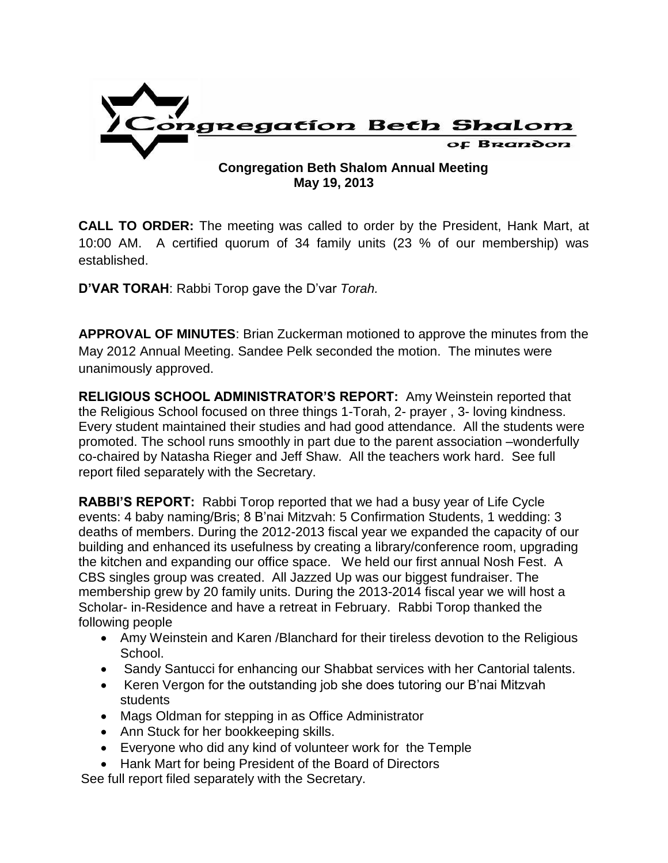

### **Congregation Beth Shalom Annual Meeting May 19, 2013**

**CALL TO ORDER:** The meeting was called to order by the President, Hank Mart, at 10:00 AM. A certified quorum of 34 family units (23 % of our membership) was established.

**D'VAR TORAH**: Rabbi Torop gave the D'var *Torah.* 

**APPROVAL OF MINUTES**: Brian Zuckerman motioned to approve the minutes from the May 2012 Annual Meeting. Sandee Pelk seconded the motion. The minutes were unanimously approved.

**RELIGIOUS SCHOOL ADMINISTRATOR'S REPORT:** Amy Weinstein reported that the Religious School focused on three things 1-Torah, 2- prayer , 3- loving kindness. Every student maintained their studies and had good attendance. All the students were promoted. The school runs smoothly in part due to the parent association –wonderfully co-chaired by Natasha Rieger and Jeff Shaw. All the teachers work hard. See full report filed separately with the Secretary.

**RABBI'S REPORT:** Rabbi Torop reported that we had a busy year of Life Cycle events: 4 baby naming/Bris; 8 B'nai Mitzvah: 5 Confirmation Students, 1 wedding: 3 deaths of members. During the 2012-2013 fiscal year we expanded the capacity of our building and enhanced its usefulness by creating a library/conference room, upgrading the kitchen and expanding our office space. We held our first annual Nosh Fest. A CBS singles group was created. All Jazzed Up was our biggest fundraiser. The membership grew by 20 family units. During the 2013-2014 fiscal year we will host a Scholar- in-Residence and have a retreat in February. Rabbi Torop thanked the following people

- Amy Weinstein and Karen /Blanchard for their tireless devotion to the Religious School.
- Sandy Santucci for enhancing our Shabbat services with her Cantorial talents.
- Keren Vergon for the outstanding job she does tutoring our B'nai Mitzvah students
- Mags Oldman for stepping in as Office Administrator
- Ann Stuck for her bookkeeping skills.
- Everyone who did any kind of volunteer work for the Temple
- Hank Mart for being President of the Board of Directors

See full report filed separately with the Secretary.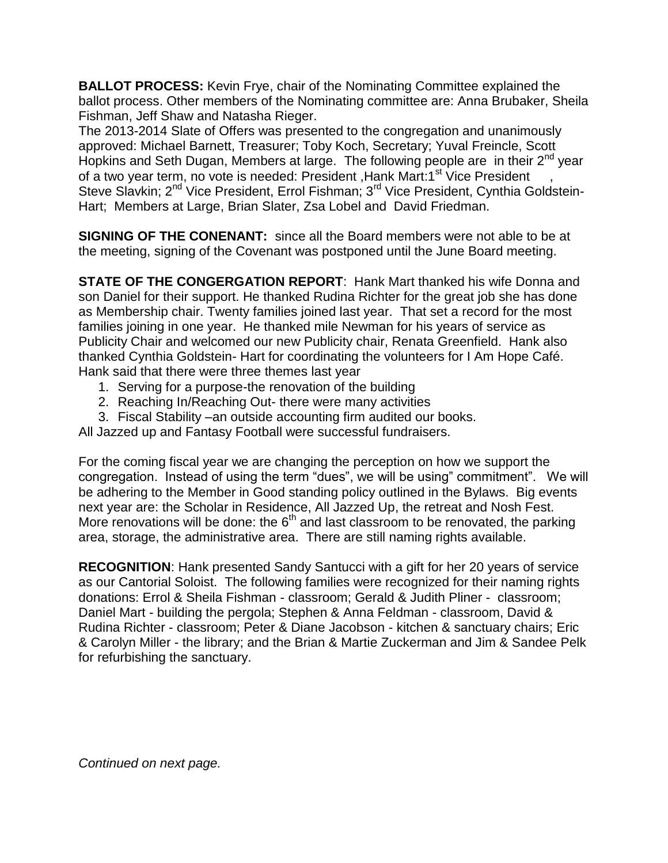**BALLOT PROCESS:** Kevin Frye, chair of the Nominating Committee explained the ballot process. Other members of the Nominating committee are: Anna Brubaker, Sheila Fishman, Jeff Shaw and Natasha Rieger.

The 2013-2014 Slate of Offers was presented to the congregation and unanimously approved: Michael Barnett, Treasurer; Toby Koch, Secretary; Yuval Freincle, Scott Hopkins and Seth Dugan, Members at large. The following people are in their 2<sup>nd</sup> year of a two year term, no vote is needed: President , Hank Mart:1<sup>st</sup> Vice President Steve Slavkin; 2<sup>nd</sup> Vice President, Errol Fishman; 3<sup>rd</sup> Vice President, Cynthia Goldstein-Hart; Members at Large, Brian Slater, Zsa Lobel and David Friedman.

**SIGNING OF THE CONENANT:** since all the Board members were not able to be at the meeting, signing of the Covenant was postponed until the June Board meeting.

**STATE OF THE CONGERGATION REPORT**: Hank Mart thanked his wife Donna and son Daniel for their support. He thanked Rudina Richter for the great job she has done as Membership chair. Twenty families joined last year. That set a record for the most families joining in one year. He thanked mile Newman for his years of service as Publicity Chair and welcomed our new Publicity chair, Renata Greenfield. Hank also thanked Cynthia Goldstein- Hart for coordinating the volunteers for I Am Hope Café. Hank said that there were three themes last year

- 1. Serving for a purpose-the renovation of the building
- 2. Reaching In/Reaching Out- there were many activities
- 3. Fiscal Stability –an outside accounting firm audited our books.

All Jazzed up and Fantasy Football were successful fundraisers.

For the coming fiscal year we are changing the perception on how we support the congregation. Instead of using the term "dues", we will be using" commitment". We will be adhering to the Member in Good standing policy outlined in the Bylaws. Big events next year are: the Scholar in Residence, All Jazzed Up, the retreat and Nosh Fest. More renovations will be done: the  $6<sup>th</sup>$  and last classroom to be renovated, the parking area, storage, the administrative area. There are still naming rights available.

**RECOGNITION**: Hank presented Sandy Santucci with a gift for her 20 years of service as our Cantorial Soloist. The following families were recognized for their naming rights donations: Errol & Sheila Fishman - classroom; Gerald & Judith Pliner - classroom; Daniel Mart - building the pergola; Stephen & Anna Feldman - classroom, David & Rudina Richter - classroom; Peter & Diane Jacobson - kitchen & sanctuary chairs; Eric & Carolyn Miller - the library; and the Brian & Martie Zuckerman and Jim & Sandee Pelk for refurbishing the sanctuary.

*Continued on next page.*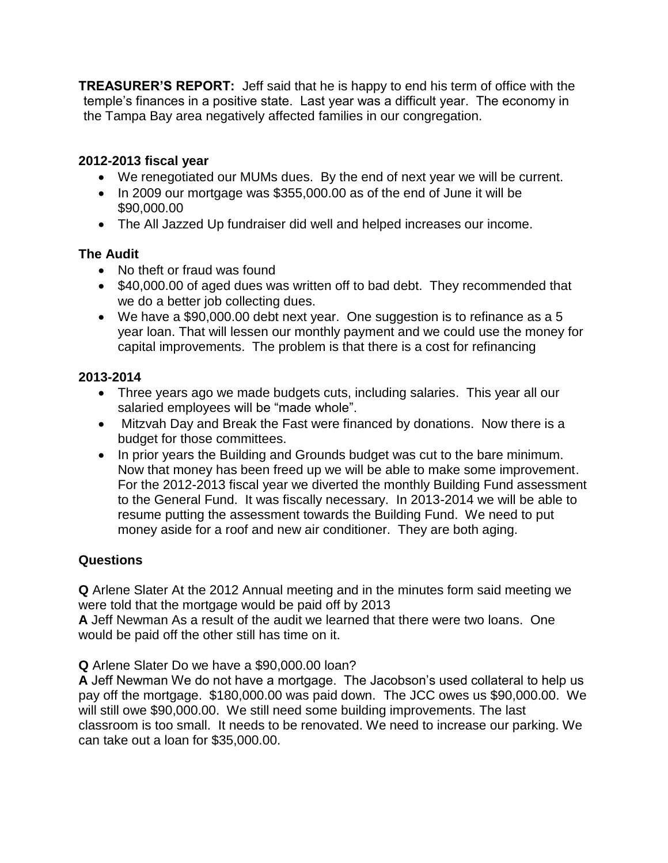**TREASURER'S REPORT:** Jeff said that he is happy to end his term of office with the temple's finances in a positive state. Last year was a difficult year. The economy in the Tampa Bay area negatively affected families in our congregation.

# **2012-2013 fiscal year**

- We renegotiated our MUMs dues. By the end of next year we will be current.
- In 2009 our mortgage was \$355,000.00 as of the end of June it will be \$90,000.00
- The All Jazzed Up fundraiser did well and helped increases our income.

## **The Audit**

- No theft or fraud was found
- \$40,000.00 of aged dues was written off to bad debt. They recommended that we do a better job collecting dues.
- We have a \$90,000.00 debt next year. One suggestion is to refinance as a 5 year loan. That will lessen our monthly payment and we could use the money for capital improvements. The problem is that there is a cost for refinancing

## **2013-2014**

- Three years ago we made budgets cuts, including salaries. This year all our salaried employees will be "made whole".
- Mitzvah Day and Break the Fast were financed by donations. Now there is a budget for those committees.
- In prior years the Building and Grounds budget was cut to the bare minimum. Now that money has been freed up we will be able to make some improvement. For the 2012-2013 fiscal year we diverted the monthly Building Fund assessment to the General Fund. It was fiscally necessary. In 2013-2014 we will be able to resume putting the assessment towards the Building Fund. We need to put money aside for a roof and new air conditioner. They are both aging.

# **Questions**

**Q** Arlene Slater At the 2012 Annual meeting and in the minutes form said meeting we were told that the mortgage would be paid off by 2013

**A** Jeff Newman As a result of the audit we learned that there were two loans. One would be paid off the other still has time on it.

**Q** Arlene Slater Do we have a \$90,000.00 loan?

**A** Jeff Newman We do not have a mortgage. The Jacobson's used collateral to help us pay off the mortgage. \$180,000.00 was paid down. The JCC owes us \$90,000.00. We will still owe \$90,000.00. We still need some building improvements. The last classroom is too small. It needs to be renovated. We need to increase our parking. We can take out a loan for \$35,000.00.